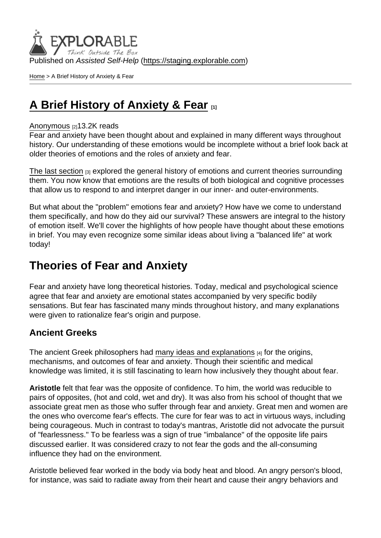Published on Assisted Self-Help [\(https://staging.explorable.com](https://staging.explorable.com))

[Home](https://staging.explorable.com/en) > A Brief History of Anxiety & Fear

# [A Brief History of Anxiety & Fear](https://staging.explorable.com/en/e/history-of-anxiety-and-fear)

#### [Anonymous](https://staging.explorable.com/en/users/grharriman) [2]13.2K reads

Fear and anxiety have been thought about and explained in many different ways throughout history. Our understanding of these emotions would be incomplete without a brief look back at older theories of emotions and the roles of anxiety and fear.

[The last section](https://explorable.com/theories-of-emotion)  $[3]$  explored the general history of emotions and current theories surrounding them. You now know that emotions are the results of both biological and cognitive processes that allow us to respond to and interpret danger in our inner- and outer-environments.

But what about the "problem" emotions fear and anxiety? How have we come to understand them specifically, and how do they aid our survival? These answers are integral to the history of emotion itself. We'll cover the highlights of how people have thought about these emotions in brief. You may even recognize some similar ideas about living a "balanced life" at work today!

## Theories of Fear and Anxiety

Fear and anxiety have long theoretical histories. Today, medical and psychological science agree that fear and anxiety are emotional states accompanied by very specific bodily sensations. But fear has fascinated many minds throughout history, and many explanations were given to rationalize fear's origin and purpose.

### Ancient Greeks

The ancient Greek philosophers had [many ideas and explanations](http://www.ncbi.nlm.nih.gov/pmc/articles/PMC1751166/?page=1) [4] for the origins, mechanisms, and outcomes of fear and anxiety. Though their scientific and medical knowledge was limited, it is still fascinating to learn how inclusively they thought about fear.

Aristotle felt that fear was the opposite of confidence. To him, the world was reducible to pairs of opposites, (hot and cold, wet and dry). It was also from his school of thought that we associate great men as those who suffer through fear and anxiety. Great men and women are the ones who overcome fear's effects. The cure for fear was to act in virtuous ways, including being courageous. Much in contrast to today's mantras, Aristotle did not advocate the pursuit of "fearlessness." To be fearless was a sign of true "imbalance" of the opposite life pairs discussed earlier. It was considered crazy to not fear the gods and the all-consuming influence they had on the environment.

Aristotle believed fear worked in the body via body heat and blood. An angry person's blood, for instance, was said to radiate away from their heart and cause their angry behaviors and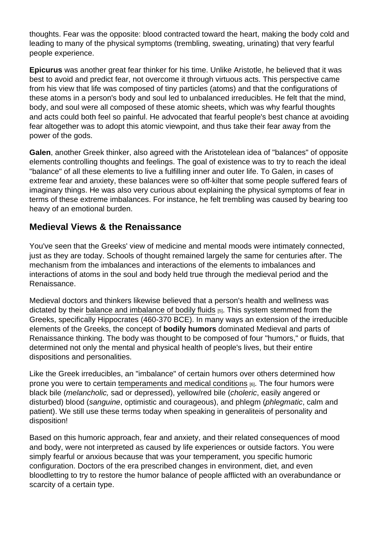thoughts. Fear was the opposite: blood contracted toward the heart, making the body cold and leading to many of the physical symptoms (trembling, sweating, urinating) that very fearful people experience.

Epicurus was another great fear thinker for his time. Unlike Aristotle, he believed that it was best to avoid and predict fear, not overcome it through virtuous acts. This perspective came from his view that life was composed of tiny particles (atoms) and that the configurations of these atoms in a person's body and soul led to unbalanced irreducibles. He felt that the mind, body, and soul were all composed of these atomic sheets, which was why fearful thoughts and acts could both feel so painful. He advocated that fearful people's best chance at avoiding fear altogether was to adopt this atomic viewpoint, and thus take their fear away from the power of the gods.

Galen, another Greek thinker, also agreed with the Aristotelean idea of "balances" of opposite elements controlling thoughts and feelings. The goal of existence was to try to reach the ideal "balance" of all these elements to live a fulfilling inner and outer life. To Galen, in cases of extreme fear and anxiety, these balances were so off-kilter that some people suffered fears of imaginary things. He was also very curious about explaining the physical symptoms of fear in terms of these extreme imbalances. For instance, he felt trembling was caused by bearing too heavy of an emotional burden.

## Medieval Views & the Renaissance

You've seen that the Greeks' view of medicine and mental moods were intimately connected, just as they are today. Schools of thought remained largely the same for centuries after. The mechanism from the imbalances and interactions of the elements to imbalances and interactions of atoms in the soul and body held true through the medieval period and the Renaissance.

Medieval doctors and thinkers likewise believed that a person's health and wellness was dictated by their [balance and imbalance of bodily fluids](http://ocp.hul.harvard.edu/contagion/humoraltheory.html) [5]. This system stemmed from the Greeks, specifically Hippocrates (460-370 BCE). In many ways an extension of the irreducible elements of the Greeks, the concept of bodily humors dominated Medieval and parts of Renaissance thinking. The body was thought to be composed of four "humors," or fluids, that determined not only the mental and physical health of people's lives, but their entire dispositions and personalities.

Like the Greek irreducibles, an "imbalance" of certain humors over others determined how prone you were to certain [temperaments and medical conditions](https://en.wikipedia.org/wiki/Humorism) [6]. The four humors were black bile (melancholic, sad or depressed), yellow/red bile (choleric, easily angered or disturbed) blood (sanguine, optimistic and courageous), and phlegm (phlegmatic, calm and patient). We still use these terms today when speaking in generaliteis of personality and disposition!

Based on this humoric approach, fear and anxiety, and their related consequences of mood and body, were not interpreted as caused by life experiences or outside factors. You were simply fearful or anxious because that was your temperament, you specific humoric configuration. Doctors of the era prescribed changes in environment, diet, and even bloodletting to try to restore the humor balance of people afflicted with an overabundance or scarcity of a certain type.